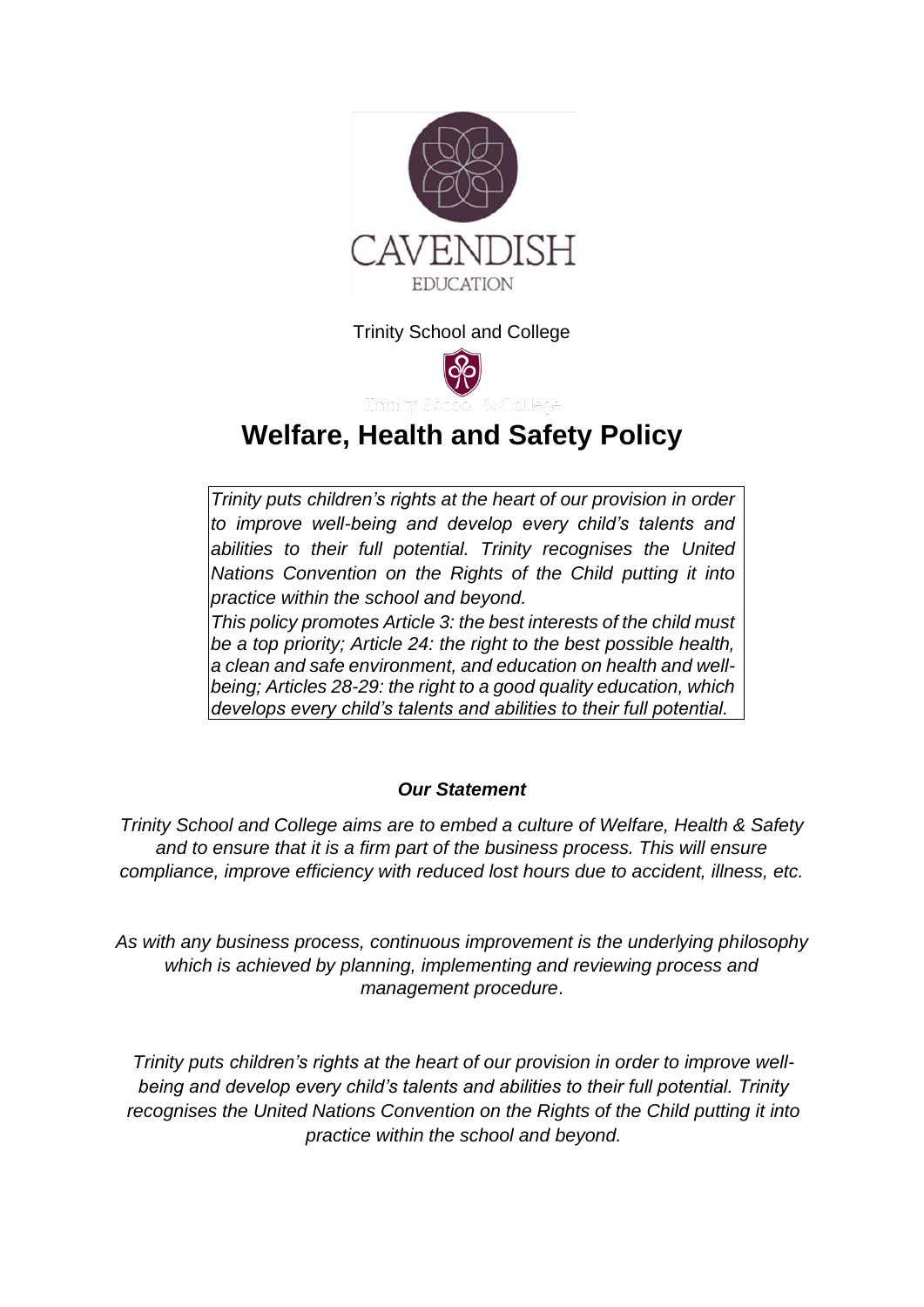

Trinity School and College



# **Welfare, Health and Safety Policy**

*Trinity puts [children's rights](http://www.unicef.org.uk/rights-respecting-schools/about-the-award/child-rights-in-schools/) at the heart of our provision in order to improve well-being and develop every child's talents and abilities to their full potential. Trinity recognises the [United](http://www.unicef.org.uk/UNICEFs-Work/UN-Convention/)  [Nations Convention on the Rights of the Child](http://www.unicef.org.uk/UNICEFs-Work/UN-Convention/) putting it into practice within the school and beyond.*

*This policy promotes Article 3: the best interests of the child must be a top priority; Article 24: the right to the best possible health, a clean and safe environment, and education on health and wellbeing; Articles 28-29: the right to a good quality education, which develops every child's talents and abilities to their full potential.*

## *Our Statement*

*Trinity School and College aims are to embed a culture of Welfare, Health & Safety and to ensure that it is a firm part of the business process. This will ensure compliance, improve efficiency with reduced lost hours due to accident, illness, etc.*

*As with any business process, continuous improvement is the underlying philosophy which is achieved by planning, implementing and reviewing process and management procedure*.

*Trinity puts [children's rights](http://www.unicef.org.uk/rights-respecting-schools/about-the-award/child-rights-in-schools/) at the heart of our provision in order to improve wellbeing and develop every child's talents and abilities to their full potential. Trinity recognises the [United Nations Convention on the Rights of the Child](http://www.unicef.org.uk/UNICEFs-Work/UN-Convention/) putting it into practice within the school and beyond.*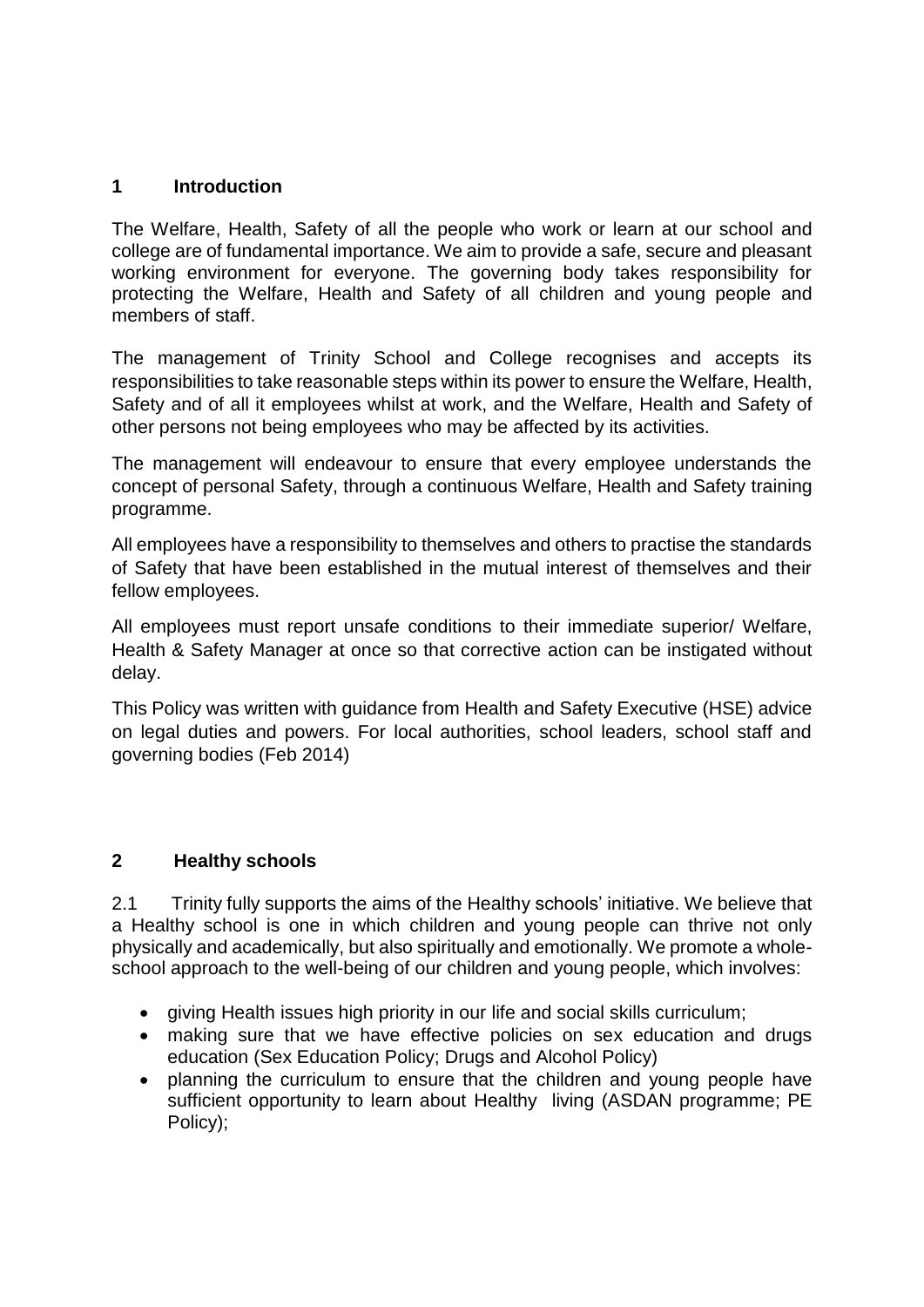#### **1 Introduction**

The Welfare, Health, Safety of all the people who work or learn at our school and college are of fundamental importance. We aim to provide a safe, secure and pleasant working environment for everyone. The governing body takes responsibility for protecting the Welfare, Health and Safety of all children and young people and members of staff.

The management of Trinity School and College recognises and accepts its responsibilities to take reasonable steps within its power to ensure the Welfare, Health, Safety and of all it employees whilst at work, and the Welfare, Health and Safety of other persons not being employees who may be affected by its activities.

The management will endeavour to ensure that every employee understands the concept of personal Safety, through a continuous Welfare, Health and Safety training programme.

All employees have a responsibility to themselves and others to practise the standards of Safety that have been established in the mutual interest of themselves and their fellow employees.

All employees must report unsafe conditions to their immediate superior/ Welfare, Health & Safety Manager at once so that corrective action can be instigated without delay.

This Policy was written with guidance from Health and Safety Executive (HSE) advice on legal duties and powers. For local authorities, school leaders, school staff and governing bodies (Feb 2014)

#### **2 Healthy schools**

2.1 Trinity fully supports the aims of the Healthy schools' initiative. We believe that a Healthy school is one in which children and young people can thrive not only physically and academically, but also spiritually and emotionally. We promote a wholeschool approach to the well-being of our children and young people, which involves:

- giving Health issues high priority in our life and social skills curriculum;
- making sure that we have effective policies on sex education and drugs education (Sex Education Policy; Drugs and Alcohol Policy)
- planning the curriculum to ensure that the children and young people have sufficient opportunity to learn about Healthy living (ASDAN programme; PE Policy);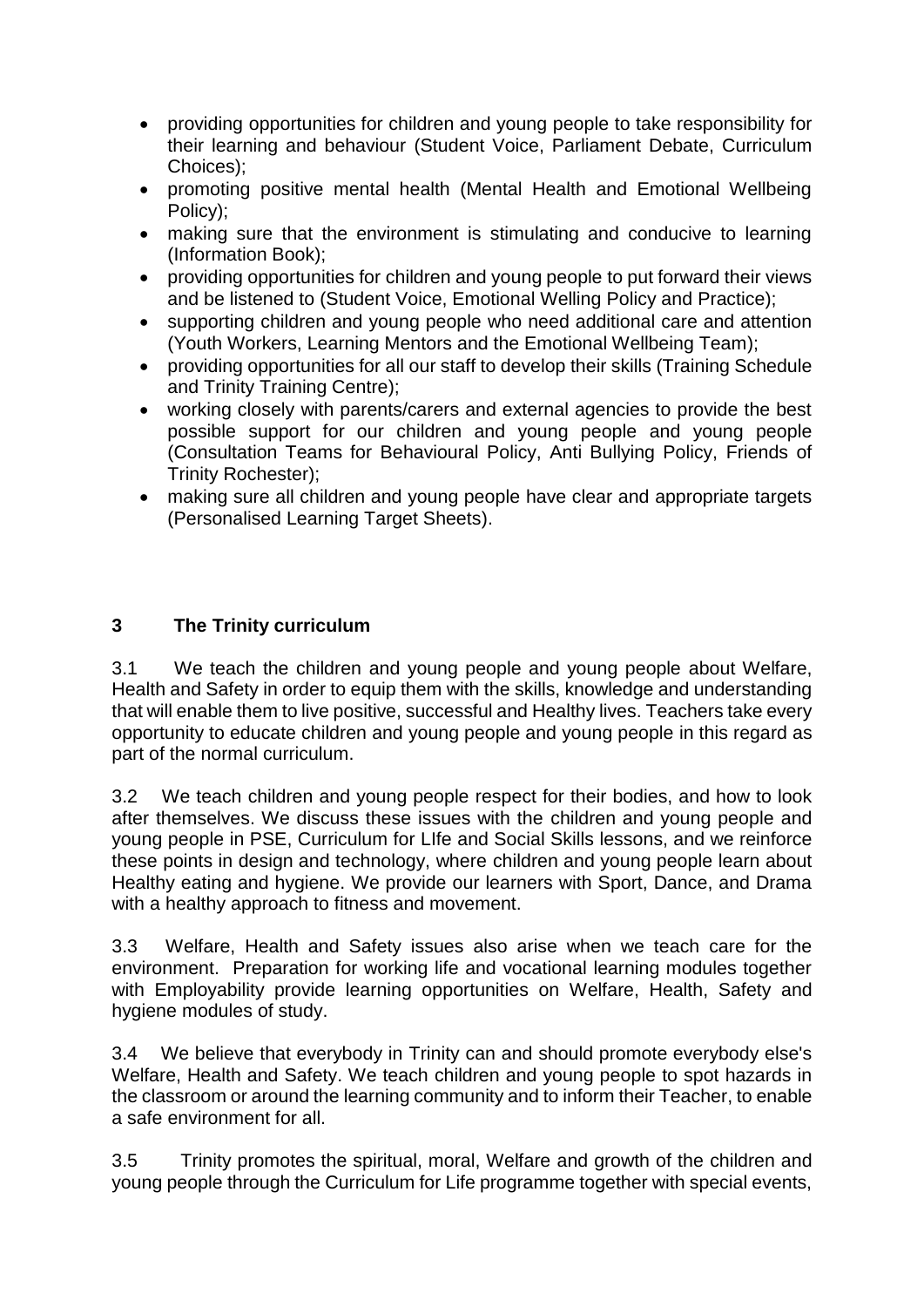- providing opportunities for children and young people to take responsibility for their learning and behaviour (Student Voice, Parliament Debate, Curriculum Choices);
- promoting positive mental health (Mental Health and Emotional Wellbeing Policy);
- making sure that the environment is stimulating and conducive to learning (Information Book);
- providing opportunities for children and young people to put forward their views and be listened to (Student Voice, Emotional Welling Policy and Practice);
- supporting children and young people who need additional care and attention (Youth Workers, Learning Mentors and the Emotional Wellbeing Team);
- providing opportunities for all our staff to develop their skills (Training Schedule and Trinity Training Centre);
- working closely with parents/carers and external agencies to provide the best possible support for our children and young people and young people (Consultation Teams for Behavioural Policy, Anti Bullying Policy, Friends of Trinity Rochester);
- making sure all children and young people have clear and appropriate targets (Personalised Learning Target Sheets).

#### **3 The Trinity curriculum**

3.1 We teach the children and young people and young people about Welfare, Health and Safety in order to equip them with the skills, knowledge and understanding that will enable them to live positive, successful and Healthy lives. Teachers take every opportunity to educate children and young people and young people in this regard as part of the normal curriculum.

3.2 We teach children and young people respect for their bodies, and how to look after themselves. We discuss these issues with the children and young people and young people in PSE, Curriculum for LIfe and Social Skills lessons, and we reinforce these points in design and technology, where children and young people learn about Healthy eating and hygiene. We provide our learners with Sport, Dance, and Drama with a healthy approach to fitness and movement.

3.3 Welfare, Health and Safety issues also arise when we teach care for the environment. Preparation for working life and vocational learning modules together with Employability provide learning opportunities on Welfare, Health, Safety and hygiene modules of study.

3.4 We believe that everybody in Trinity can and should promote everybody else's Welfare, Health and Safety. We teach children and young people to spot hazards in the classroom or around the learning community and to inform their Teacher, to enable a safe environment for all.

3.5 Trinity promotes the spiritual, moral, Welfare and growth of the children and young people through the Curriculum for Life programme together with special events,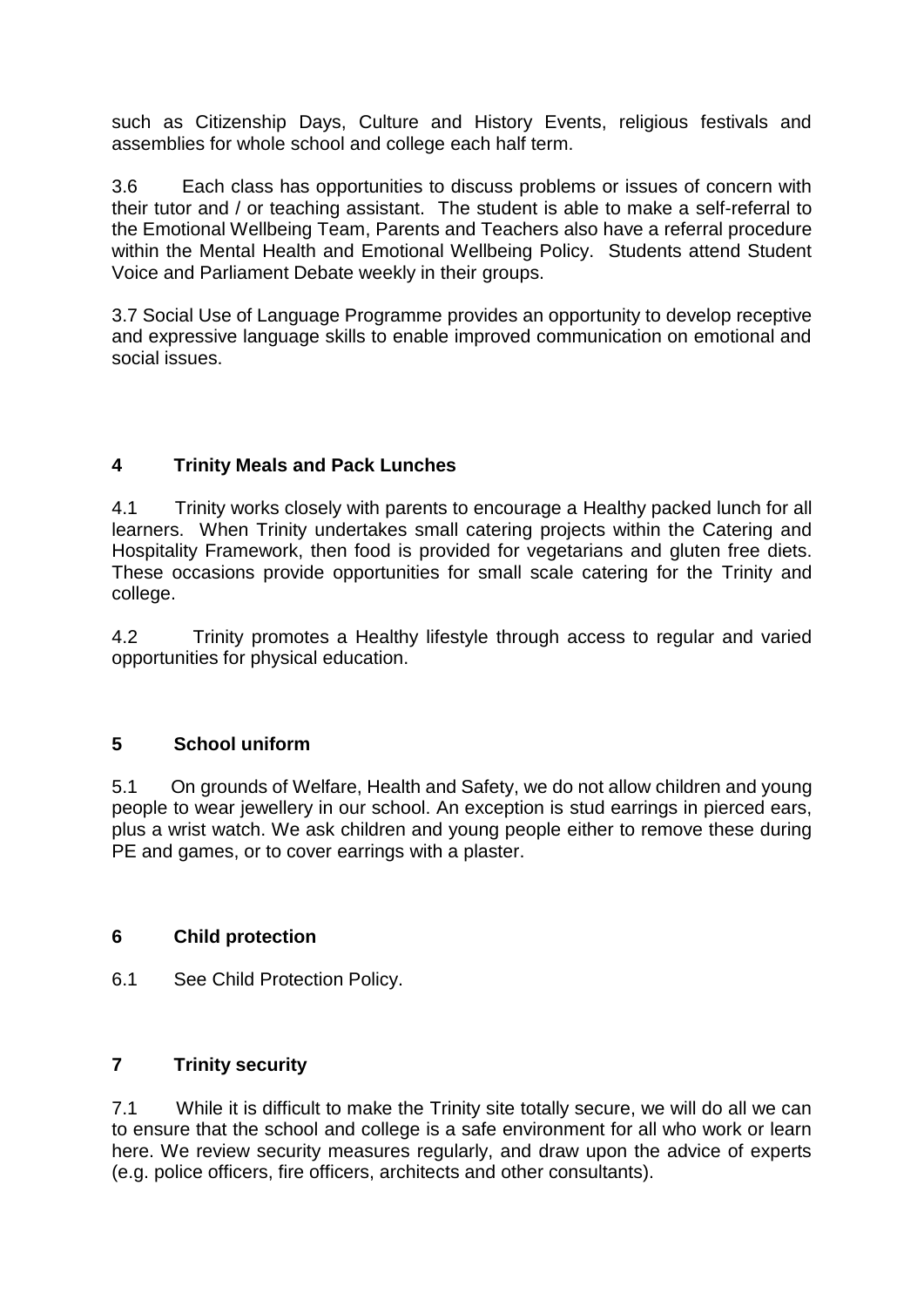such as Citizenship Days, Culture and History Events, religious festivals and assemblies for whole school and college each half term.

3.6 Each class has opportunities to discuss problems or issues of concern with their tutor and / or teaching assistant. The student is able to make a self-referral to the Emotional Wellbeing Team, Parents and Teachers also have a referral procedure within the Mental Health and Emotional Wellbeing Policy. Students attend Student Voice and Parliament Debate weekly in their groups.

3.7 Social Use of Language Programme provides an opportunity to develop receptive and expressive language skills to enable improved communication on emotional and social issues.

#### **4 Trinity Meals and Pack Lunches**

4.1 Trinity works closely with parents to encourage a Healthy packed lunch for all learners. When Trinity undertakes small catering projects within the Catering and Hospitality Framework, then food is provided for vegetarians and gluten free diets. These occasions provide opportunities for small scale catering for the Trinity and college.

4.2 Trinity promotes a Healthy lifestyle through access to regular and varied opportunities for physical education.

#### **5 School uniform**

5.1 On grounds of Welfare, Health and Safety, we do not allow children and young people to wear jewellery in our school. An exception is stud earrings in pierced ears, plus a wrist watch. We ask children and young people either to remove these during PE and games, or to cover earrings with a plaster.

#### **6 Child protection**

6.1 See Child Protection Policy.

#### **7 Trinity security**

7.1 While it is difficult to make the Trinity site totally secure, we will do all we can to ensure that the school and college is a safe environment for all who work or learn here. We review security measures regularly, and draw upon the advice of experts (e.g. police officers, fire officers, architects and other consultants).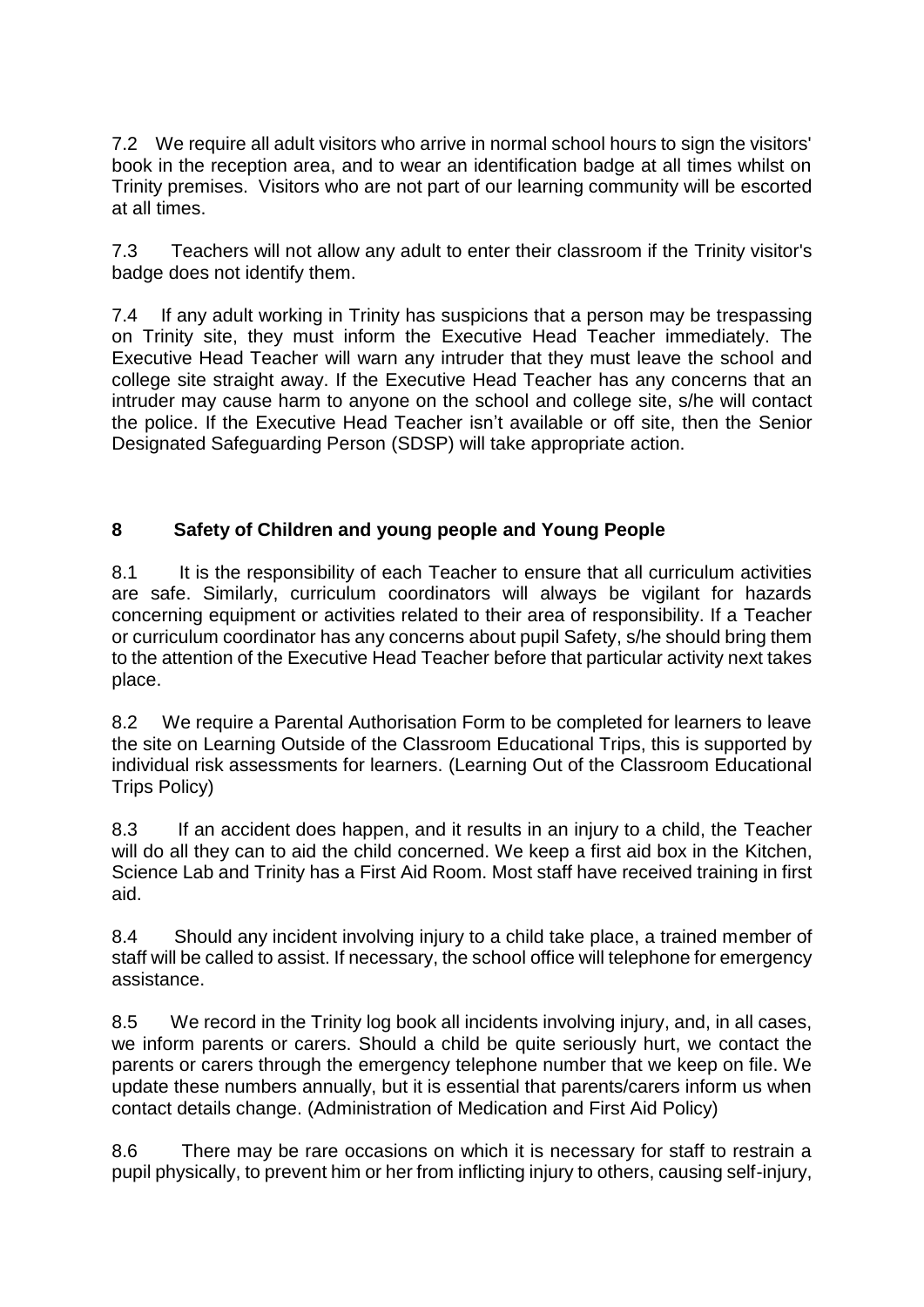7.2 We require all adult visitors who arrive in normal school hours to sign the visitors' book in the reception area, and to wear an identification badge at all times whilst on Trinity premises. Visitors who are not part of our learning community will be escorted at all times.

7.3 Teachers will not allow any adult to enter their classroom if the Trinity visitor's badge does not identify them.

7.4 If any adult working in Trinity has suspicions that a person may be trespassing on Trinity site, they must inform the Executive Head Teacher immediately. The Executive Head Teacher will warn any intruder that they must leave the school and college site straight away. If the Executive Head Teacher has any concerns that an intruder may cause harm to anyone on the school and college site, s/he will contact the police. If the Executive Head Teacher isn't available or off site, then the Senior Designated Safeguarding Person (SDSP) will take appropriate action.

## **8 Safety of Children and young people and Young People**

8.1 It is the responsibility of each Teacher to ensure that all curriculum activities are safe. Similarly, curriculum coordinators will always be vigilant for hazards concerning equipment or activities related to their area of responsibility. If a Teacher or curriculum coordinator has any concerns about pupil Safety, s/he should bring them to the attention of the Executive Head Teacher before that particular activity next takes place.

8.2 We require a Parental Authorisation Form to be completed for learners to leave the site on Learning Outside of the Classroom Educational Trips, this is supported by individual risk assessments for learners. (Learning Out of the Classroom Educational Trips Policy)

8.3 If an accident does happen, and it results in an injury to a child, the Teacher will do all they can to aid the child concerned. We keep a first aid box in the Kitchen, Science Lab and Trinity has a First Aid Room. Most staff have received training in first aid.

8.4 Should any incident involving injury to a child take place, a trained member of staff will be called to assist. If necessary, the school office will telephone for emergency assistance.

8.5 We record in the Trinity log book all incidents involving injury, and, in all cases, we inform parents or carers. Should a child be quite seriously hurt, we contact the parents or carers through the emergency telephone number that we keep on file. We update these numbers annually, but it is essential that parents/carers inform us when contact details change. (Administration of Medication and First Aid Policy)

8.6 There may be rare occasions on which it is necessary for staff to restrain a pupil physically, to prevent him or her from inflicting injury to others, causing self-injury,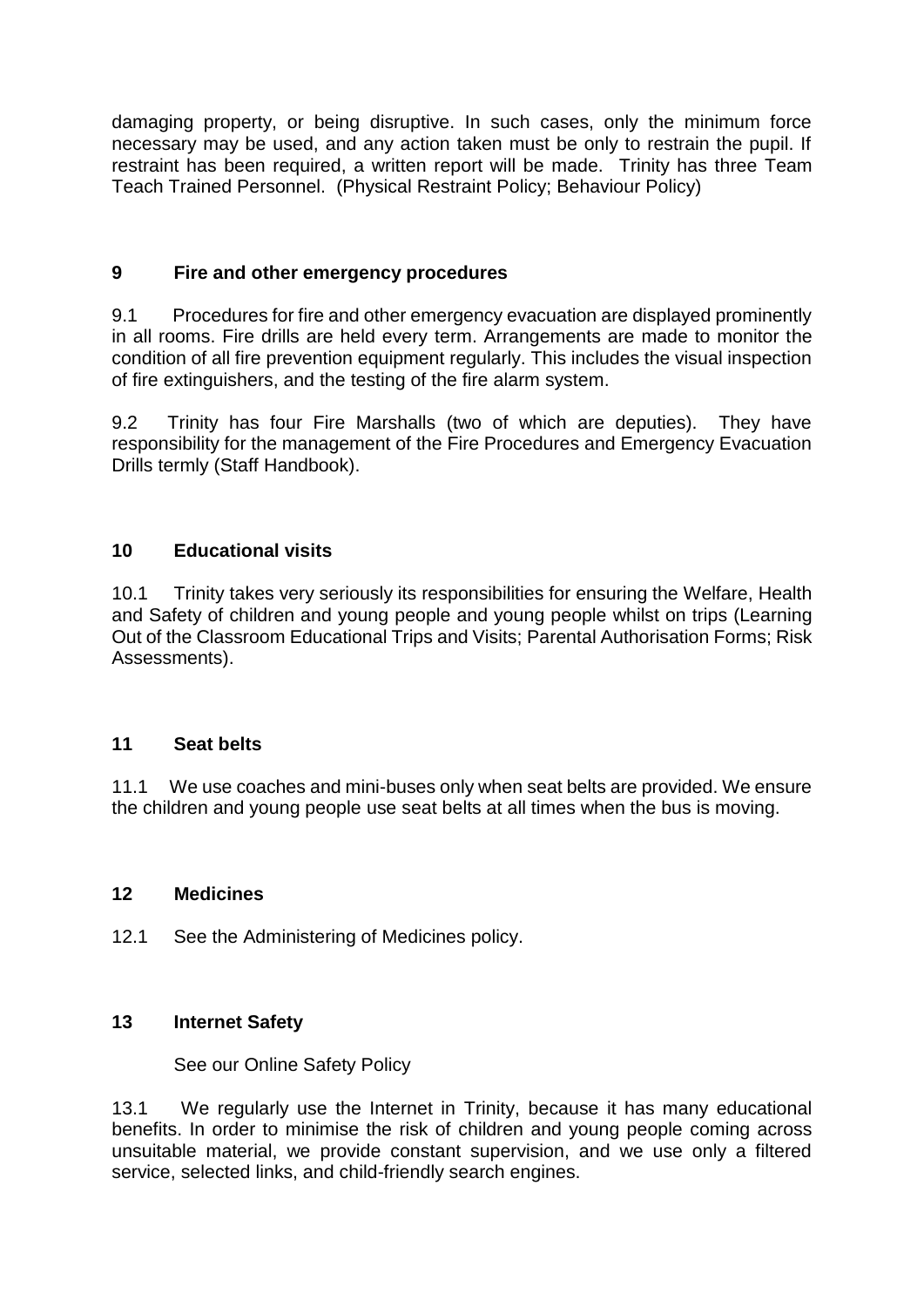damaging property, or being disruptive. In such cases, only the minimum force necessary may be used, and any action taken must be only to restrain the pupil. If restraint has been required, a written report will be made. Trinity has three Team Teach Trained Personnel. (Physical Restraint Policy; Behaviour Policy)

#### **9 Fire and other emergency procedures**

9.1 Procedures for fire and other emergency evacuation are displayed prominently in all rooms. Fire drills are held every term. Arrangements are made to monitor the condition of all fire prevention equipment regularly. This includes the visual inspection of fire extinguishers, and the testing of the fire alarm system.

9.2 Trinity has four Fire Marshalls (two of which are deputies). They have responsibility for the management of the Fire Procedures and Emergency Evacuation Drills termly (Staff Handbook).

### **10 Educational visits**

10.1 Trinity takes very seriously its responsibilities for ensuring the Welfare, Health and Safety of children and young people and young people whilst on trips (Learning Out of the Classroom Educational Trips and Visits; Parental Authorisation Forms; Risk Assessments).

#### **11 Seat belts**

11.1 We use coaches and mini-buses only when seat belts are provided. We ensure the children and young people use seat belts at all times when the bus is moving.

#### **12 Medicines**

12.1 See the Administering of Medicines policy.

#### **13 Internet Safety**

See our Online Safety Policy

13.1 We regularly use the Internet in Trinity, because it has many educational benefits. In order to minimise the risk of children and young people coming across unsuitable material, we provide constant supervision, and we use only a filtered service, selected links, and child-friendly search engines.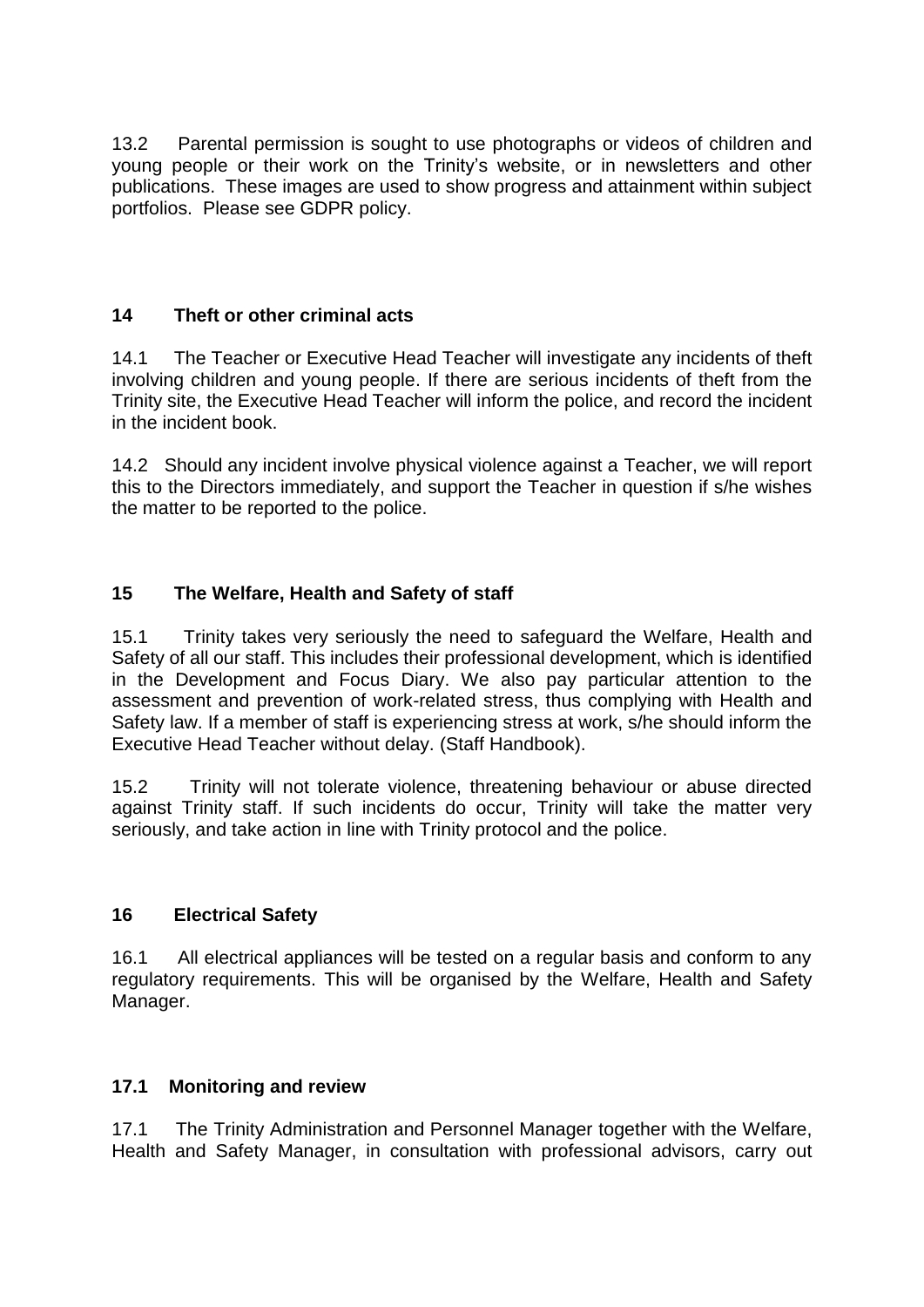13.2 Parental permission is sought to use photographs or videos of children and young people or their work on the Trinity's website, or in newsletters and other publications. These images are used to show progress and attainment within subject portfolios. Please see GDPR policy.

#### **14 Theft or other criminal acts**

14.1 The Teacher or Executive Head Teacher will investigate any incidents of theft involving children and young people. If there are serious incidents of theft from the Trinity site, the Executive Head Teacher will inform the police, and record the incident in the incident book.

14.2 Should any incident involve physical violence against a Teacher, we will report this to the Directors immediately, and support the Teacher in question if s/he wishes the matter to be reported to the police.

### **15 The Welfare, Health and Safety of staff**

15.1 Trinity takes very seriously the need to safeguard the Welfare, Health and Safety of all our staff. This includes their professional development, which is identified in the Development and Focus Diary. We also pay particular attention to the assessment and prevention of work-related stress, thus complying with Health and Safety law. If a member of staff is experiencing stress at work, s/he should inform the Executive Head Teacher without delay. (Staff Handbook).

15.2 Trinity will not tolerate violence, threatening behaviour or abuse directed against Trinity staff. If such incidents do occur, Trinity will take the matter very seriously, and take action in line with Trinity protocol and the police.

#### **16 Electrical Safety**

16.1 All electrical appliances will be tested on a regular basis and conform to any regulatory requirements. This will be organised by the Welfare, Health and Safety Manager.

#### **17.1 Monitoring and review**

17.1 The Trinity Administration and Personnel Manager together with the Welfare, Health and Safety Manager, in consultation with professional advisors, carry out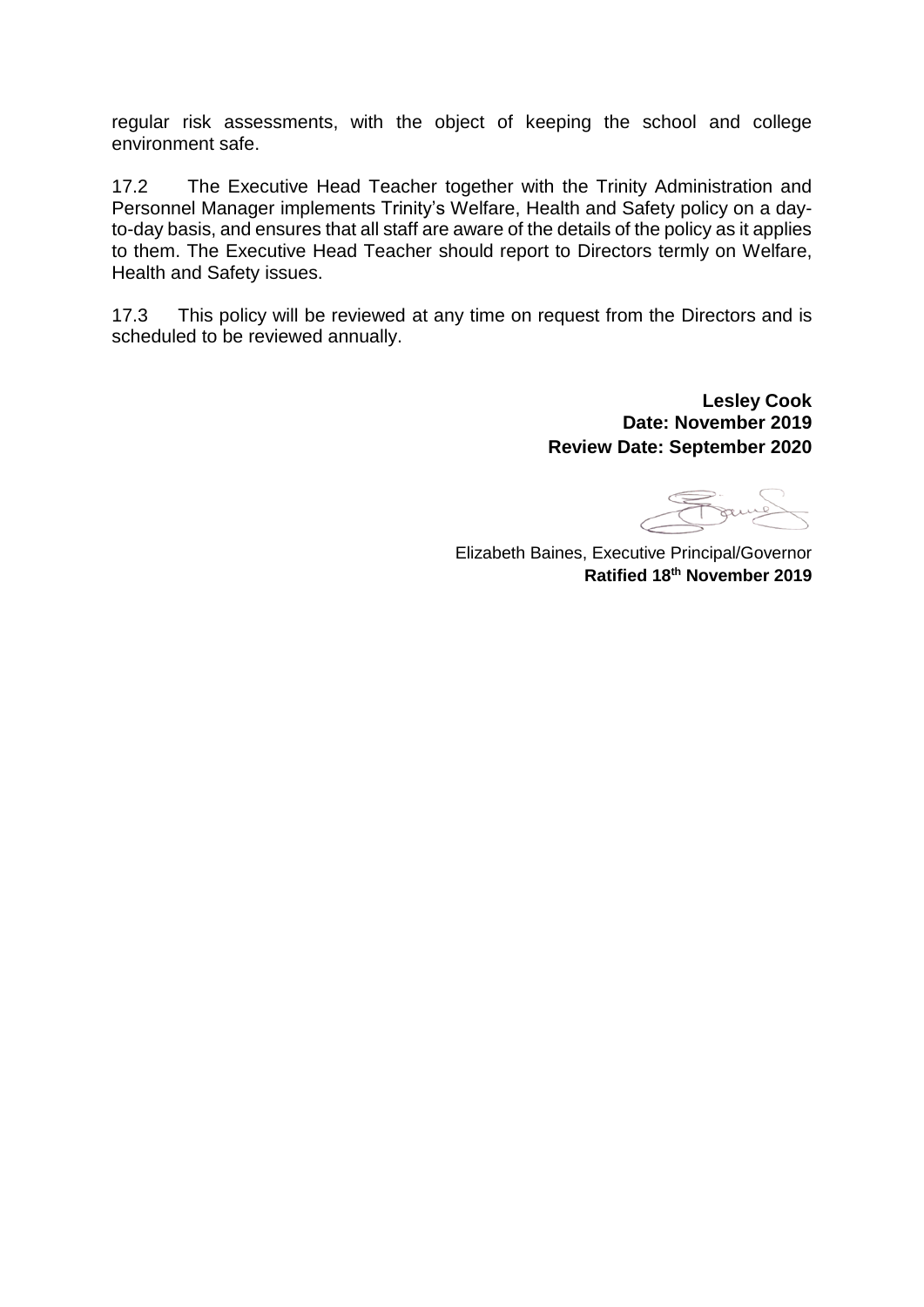regular risk assessments, with the object of keeping the school and college environment safe.

17.2 The Executive Head Teacher together with the Trinity Administration and Personnel Manager implements Trinity's Welfare, Health and Safety policy on a dayto-day basis, and ensures that all staff are aware of the details of the policy as it applies to them. The Executive Head Teacher should report to Directors termly on Welfare, Health and Safety issues.

17.3 This policy will be reviewed at any time on request from the Directors and is scheduled to be reviewed annually.

> **Lesley Cook Date: November 2019 Review Date: September 2020**

Franch

Elizabeth Baines, Executive Principal/Governor **Ratified 18th November 2019**